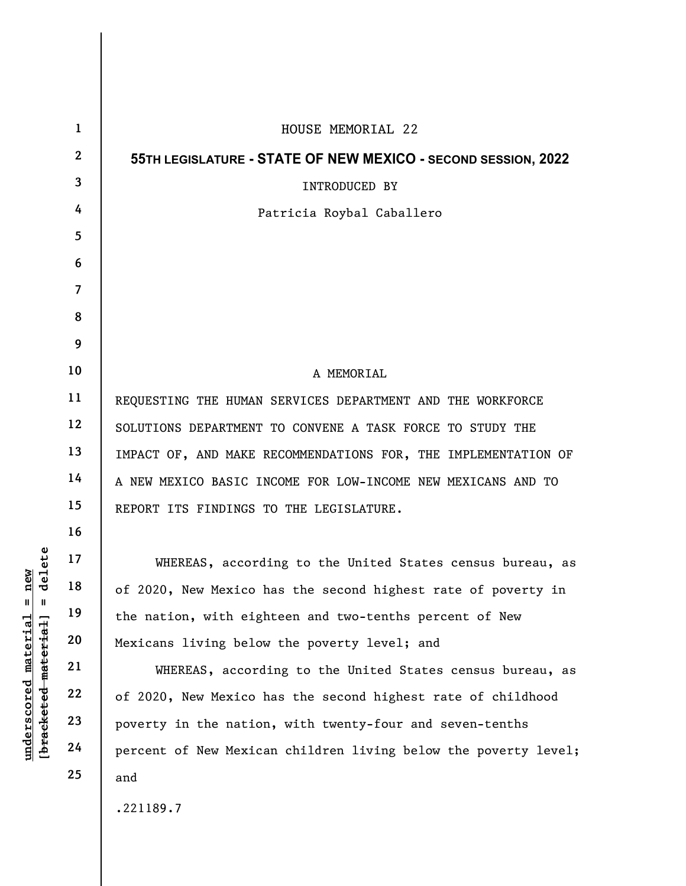|                                                                                                 | $\mathbf{1}$   | HOUSE MEMORIAL 22                                               |
|-------------------------------------------------------------------------------------------------|----------------|-----------------------------------------------------------------|
|                                                                                                 | $\mathbf{2}$   | 55TH LEGISLATURE - STATE OF NEW MEXICO - SECOND SESSION, 2022   |
|                                                                                                 | 3              | INTRODUCED BY                                                   |
|                                                                                                 | 4              | Patricia Roybal Caballero                                       |
|                                                                                                 | 5              |                                                                 |
|                                                                                                 | 6              |                                                                 |
|                                                                                                 | $\overline{7}$ |                                                                 |
|                                                                                                 | 8              |                                                                 |
|                                                                                                 | 9              |                                                                 |
|                                                                                                 | 10             | A MEMORIAL                                                      |
|                                                                                                 | 11             | REQUESTING THE HUMAN SERVICES DEPARTMENT AND THE WORKFORCE      |
| delete<br>new<br>$\mathsf{I}$<br>$\mathbf{I}$<br>$underscored$ material<br>[bracketed material] | 12             | SOLUTIONS DEPARTMENT TO CONVENE A TASK FORCE TO STUDY THE       |
|                                                                                                 | 13             | IMPACT OF, AND MAKE RECOMMENDATIONS FOR, THE IMPLEMENTATION OF  |
|                                                                                                 | 14             | A NEW MEXICO BASIC INCOME FOR LOW-INCOME NEW MEXICANS AND TO    |
|                                                                                                 | 15             | REPORT ITS FINDINGS TO THE LEGISLATURE.                         |
|                                                                                                 | 16             |                                                                 |
|                                                                                                 | 17             | WHEREAS, according to the United States census bureau, as       |
|                                                                                                 | 18             | of 2020, New Mexico has the second highest rate of poverty in   |
|                                                                                                 | 19             | the nation, with eighteen and two-tenths percent of New         |
|                                                                                                 | 20             | Mexicans living below the poverty level; and                    |
|                                                                                                 | 21             | WHEREAS, according to the United States census bureau, as       |
|                                                                                                 | 22             | of 2020, New Mexico has the second highest rate of childhood    |
|                                                                                                 | 23             | poverty in the nation, with twenty-four and seven-tenths        |
|                                                                                                 | 24             | percent of New Mexican children living below the poverty level; |
|                                                                                                 | 25             | and                                                             |
|                                                                                                 |                | .221189.7                                                       |

 $\overline{\phantom{a}}$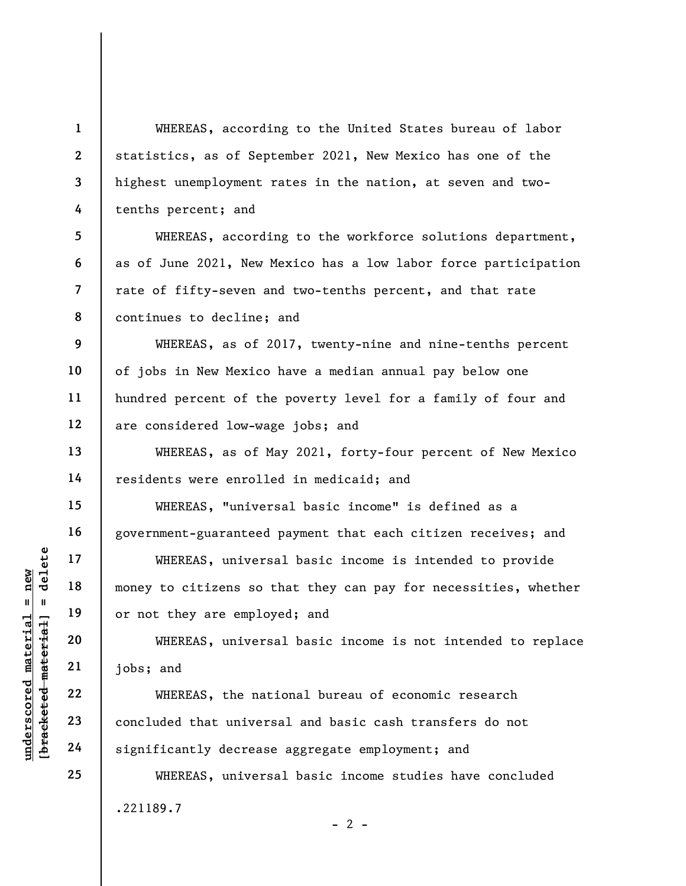WHEREAS, according to the United States bureau of labor statistics, as of September 2021, New Mexico has one of the highest unemployment rates in the nation, at seven and twotenths percent; and

WHEREAS, according to the workforce solutions department, as of June 2021, New Mexico has a low labor force participation rate of fifty-seven and two-tenths percent, and that rate continues to decline; and

WHEREAS, as of 2017, twenty-nine and nine-tenths percent of jobs in New Mexico have a median annual pay below one hundred percent of the poverty level for a family of four and are considered low-wage jobs; and

WHEREAS, as of May 2021, forty-four percent of New Mexico residents were enrolled in medicaid; and

WHEREAS, "universal basic income" is defined as a government-guaranteed payment that each citizen receives; and

underscored material = new [bracketed material] = delete WHEREAS, universal basic income is intended to provide money to citizens so that they can pay for necessities, whether or not they are employed; and

WHEREAS, universal basic income is not intended to replace jobs; and

WHEREAS, the national bureau of economic research concluded that universal and basic cash transfers do not significantly decrease aggregate employment; and

WHEREAS, universal basic income studies have concluded .221189.7  $- 2 -$ 

1

2

3

4

5

6

7

8

9

10

11

12

13

14

15

16

17

18

19

20

21

22

23

24

25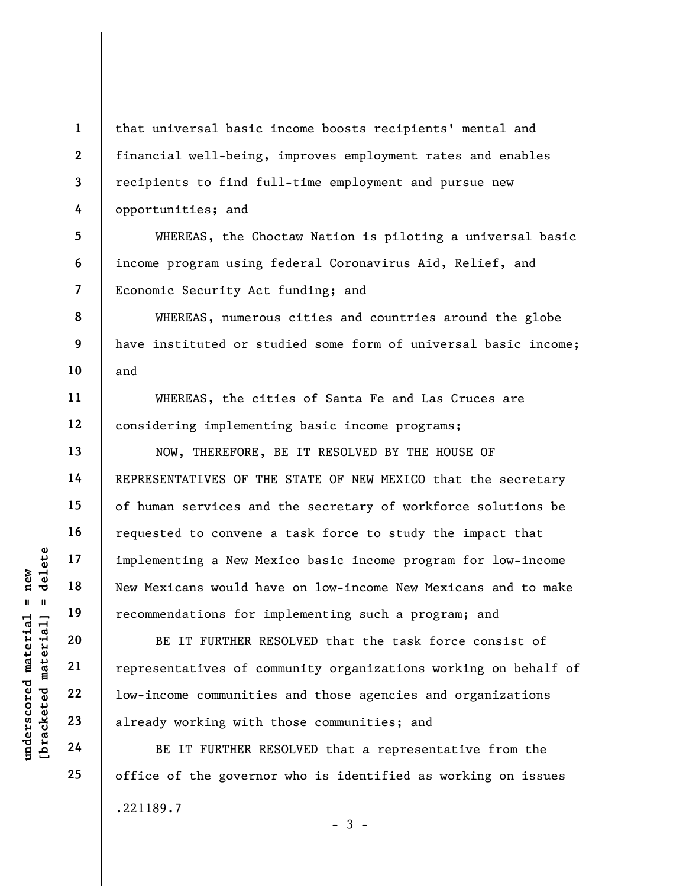2 3 that universal basic income boosts recipients' mental and financial well-being, improves employment rates and enables recipients to find full-time employment and pursue new opportunities; and

5 6 7 WHEREAS, the Choctaw Nation is piloting a universal basic income program using federal Coronavirus Aid, Relief, and Economic Security Act funding; and

WHEREAS, numerous cities and countries around the globe have instituted or studied some form of universal basic income; and

WHEREAS, the cities of Santa Fe and Las Cruces are considering implementing basic income programs;

NOW, THEREFORE, BE IT RESOLVED BY THE HOUSE OF REPRESENTATIVES OF THE STATE OF NEW MEXICO that the secretary of human services and the secretary of workforce solutions be requested to convene a task force to study the impact that implementing a New Mexico basic income program for low-income New Mexicans would have on low-income New Mexicans and to make recommendations for implementing such a program; and

UN EXECUTE 22<br>
UNE THE RESERVENCE 22<br>
UNE THE RESERVENCE 22<br>
UNE THE RESERVENCE 22<br>
UNE THE RESERVENCE 22<br>
UNE THE RESERVENCE 23<br>
UNE THE RESERVENCE 24<br>
UNE THE RESERVENCE 24<br>
BE IT FURTHER RESERVENCE 24<br>
BE IT FURTHER RES BE IT FURTHER RESOLVED that the task force consist of representatives of community organizations working on behalf of low-income communities and those agencies and organizations already working with those communities; and

BE IT FURTHER RESOLVED that a representative from the office of the governor who is identified as working on issues .221189.7  $-3 -$ 

1

4

8

9

10

11

12

13

14

15

16

17

18

19

20

21

22

23

24

25